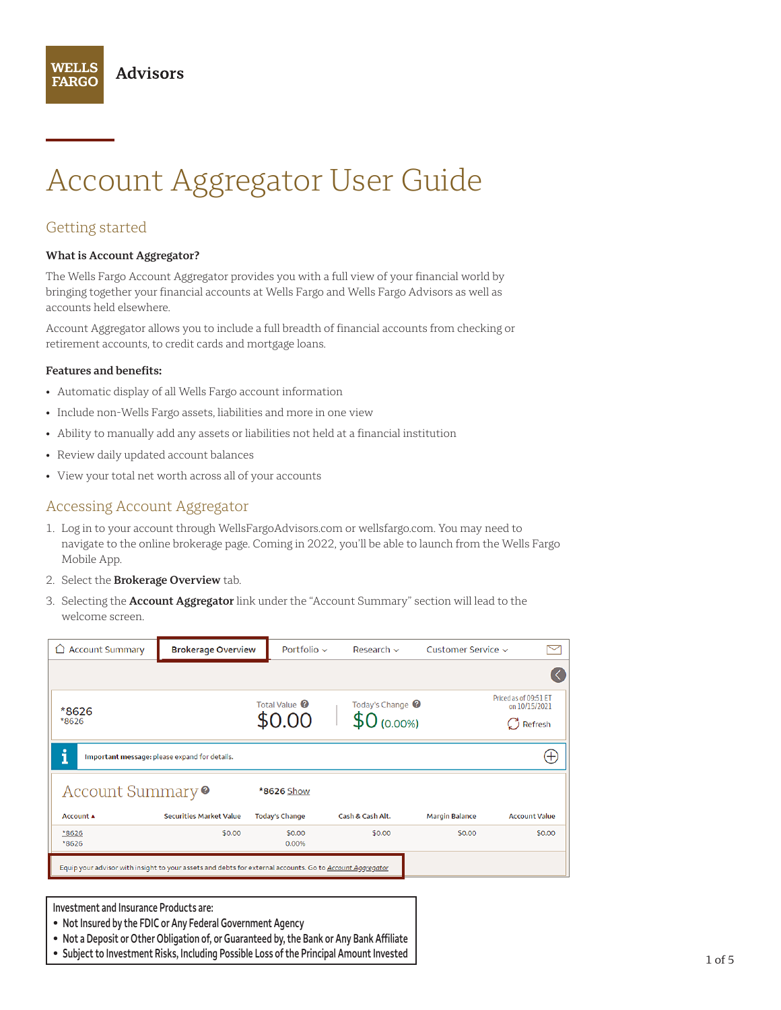# Account Aggregator User Guide

# Getting started

**WELLS** 

**FARGO** 

#### **What is Account Aggregator?**

**Advisors** 

The Wells Fargo Account Aggregator provides you with a full view of your financial world by bringing together your financial accounts at Wells Fargo and Wells Fargo Advisors as well as accounts held elsewhere.

Account Aggregator allows you to include a full breadth of financial accounts from checking or retirement accounts, to credit cards and mortgage loans.

#### **Features and benefits:**

- Automatic display of all Wells Fargo account information
- Include non-Wells Fargo assets, liabilities and more in one view
- Ability to manually add any assets or liabilities not held at a financial institution
- Review daily updated account balances
- View your total net worth across all of your accounts

### Accessing Account Aggregator

- 1. Log in to your account through [WellsFargoAdvisors.com](http://www.WellsFargoAdvisors.com) or [wellsfargo.com.](http://www.wellsfargo.com) You may need to navigate to the online brokerage page. Coming in 2022, you'll be able to launch from the Wells Fargo Mobile App.
- 2. Select the **Brokerage Overview** tab.
- 3. Selecting the **Account Aggregator** link under the "Account Summary" section will lead to the welcome screen.

| <b>Account Summary</b><br>◘  | <b>Brokerage Overview</b>                                                                                | Portfolio $\sim$                   | Research $\sim$                               | Customer Service $\sim$ |                                                              |
|------------------------------|----------------------------------------------------------------------------------------------------------|------------------------------------|-----------------------------------------------|-------------------------|--------------------------------------------------------------|
|                              |                                                                                                          |                                    |                                               |                         |                                                              |
| *8626<br>*8626               |                                                                                                          | Total Value <sup>@</sup><br>\$0.00 | Today's Change <sup>@</sup><br>$$0\,(0.00\%)$ |                         | Priced as of 09:51 ET<br>on 10/15/2021<br>$\bigcirc$ Refresh |
| i                            | Important message: please expand for details.                                                            |                                    |                                               |                         | $\pm$                                                        |
| Account Summary <sup>o</sup> |                                                                                                          | *8626 Show                         |                                               |                         |                                                              |
| Account A                    | <b>Securities Market Value</b>                                                                           | <b>Today's Change</b>              | Cash & Cash Alt.                              | <b>Margin Balance</b>   | <b>Account Value</b>                                         |
| *8626<br>*8626               | \$0.00                                                                                                   | \$0.00<br>0.00%                    | \$0.00                                        | \$0.00                  | \$0.00                                                       |
|                              | Equip your advisor with insight to your assets and debts for external accounts. Go to Account Aggregator |                                    |                                               |                         |                                                              |

**Investment and Insurance Products are:**

- **• Not Insured by the FDIC or Any Federal Government Agency**
- **• Not a Deposit or Other Obligation of, or Guaranteed by, the Bank or Any Bank Affiliate**
- **• Subject to Investment Risks, Including Possible Loss of the Principal Amount Invested**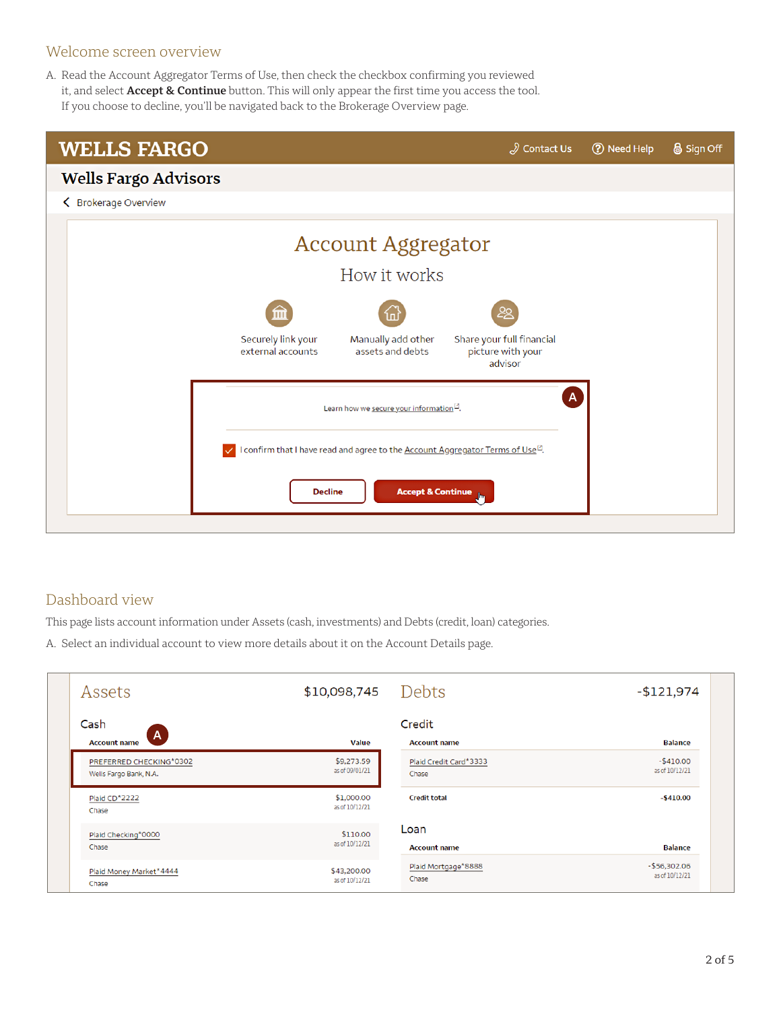## Welcome screen overview

A. Read the Account Aggregator Terms of Use, then check the checkbox confirming you reviewed it, and select **Accept & Continue** button. This will only appear the first time you access the tool. If you choose to decline, you'll be navigated back to the Brokerage Overview page.

| Sign Off                                                                                           |  |  |  |  |
|----------------------------------------------------------------------------------------------------|--|--|--|--|
|                                                                                                    |  |  |  |  |
|                                                                                                    |  |  |  |  |
|                                                                                                    |  |  |  |  |
|                                                                                                    |  |  |  |  |
|                                                                                                    |  |  |  |  |
|                                                                                                    |  |  |  |  |
|                                                                                                    |  |  |  |  |
| I confirm that I have read and agree to the <b>Account Aggregator Terms of Use</b> <sup>12</sup> . |  |  |  |  |
|                                                                                                    |  |  |  |  |
|                                                                                                    |  |  |  |  |

# Dashboard view

This page lists account information under Assets (cash, investments) and Debts (credit, loan) categories.

A. Select an individual account to view more details about it on the Account Details page.

| Assets                            | \$10,098,745                 | Debts                         | $-$121,974$    |
|-----------------------------------|------------------------------|-------------------------------|----------------|
| Cash<br>A.<br><b>Account name</b> | <b>Value</b>                 | Credit<br><b>Account name</b> | <b>Balance</b> |
| PREFERRED CHECKING*0302           | \$9,273.59                   | Plaid Credit Card*3333        | $-$410.00$     |
| Wells Fargo Bank, N.A.            | as of 09/01/21               | Chase                         | as of 10/12/21 |
| Plaid CD*2222<br>Chase            | \$1,000.00<br>as of 10/12/21 | <b>Credit total</b>           | $-5410.00$     |
| Plaid Checking*0000               | \$110.00                     | Loan                          | <b>Balance</b> |
| Chase                             | as of 10/12/21               | <b>Account name</b>           |                |
| Plaid Money Market*4444           | \$43,200.00                  | Plaid Mortgage*8888           | $-$56,302.06$  |
| Chase                             | as of 10/12/21               | Chase                         | as of 10/12/21 |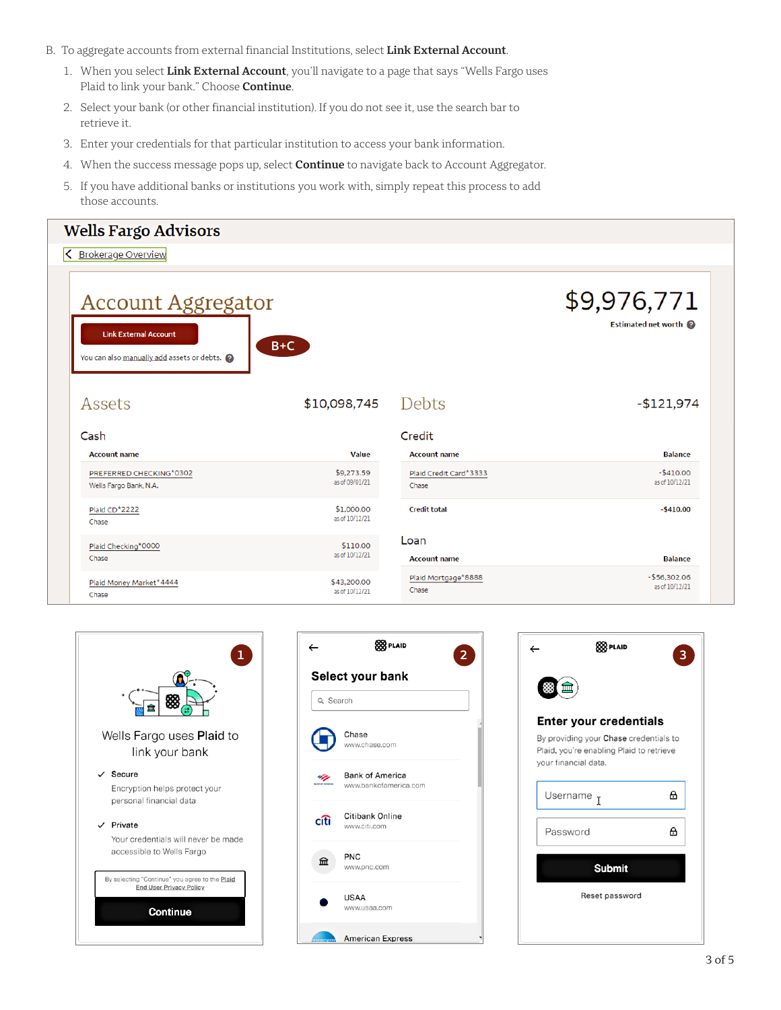- B. To aggregate accounts from external financial Institutions, select **Link External Account**.
	- 1. When you select **Link External Account**, you'll navigate to a page that says "Wells Fargo uses Plaid to link your bank." Choose **Continue**.
	- 2. Select your bank (or other financial institution). If you do not see it, use the search bar to retrieve it.
	- 3. Enter your credentials for that particular institution to access your bank information.
	- 4. When the success message pops up, select **Continue** to navigate back to Account Aggregator.
	- 5. If you have additional banks or institutions you work with, simply repeat this process to add those accounts.

| <b>Wells Fargo Advisors</b>                                                                             |                              |                             |                                    |
|---------------------------------------------------------------------------------------------------------|------------------------------|-----------------------------|------------------------------------|
| <b>Brokerage Overview</b>                                                                               |                              |                             |                                    |
| <b>Account Aggregator</b><br><b>Link External Account</b><br>You can also manually add assets or debts. | $B+C$                        |                             | \$9,976,771<br>Estimated net worth |
| Assets                                                                                                  | \$10,098,745                 | Debts                       | $-$121,974$                        |
| Cash                                                                                                    |                              | Credit                      |                                    |
| <b>Account name</b>                                                                                     | <b>Value</b>                 | <b>Account name</b>         | <b>Balance</b>                     |
| PREFERRED CHECKING*0302                                                                                 | \$9,273.59                   | Plaid Credit Card*3333      | $-$410.00$                         |
| Wells Fargo Bank, N.A.                                                                                  | as of 09/01/21               | Chase                       | as of 10/12/21                     |
| Plaid CD*2222<br>Chase                                                                                  | \$1,000.00<br>as of 10/12/21 | <b>Credit total</b>         | $-5410.00$                         |
| Plaid Checking*0000<br>Chase                                                                            | \$110.00<br>as of 10/12/21   | Loan<br><b>Account name</b> | <b>Balance</b>                     |





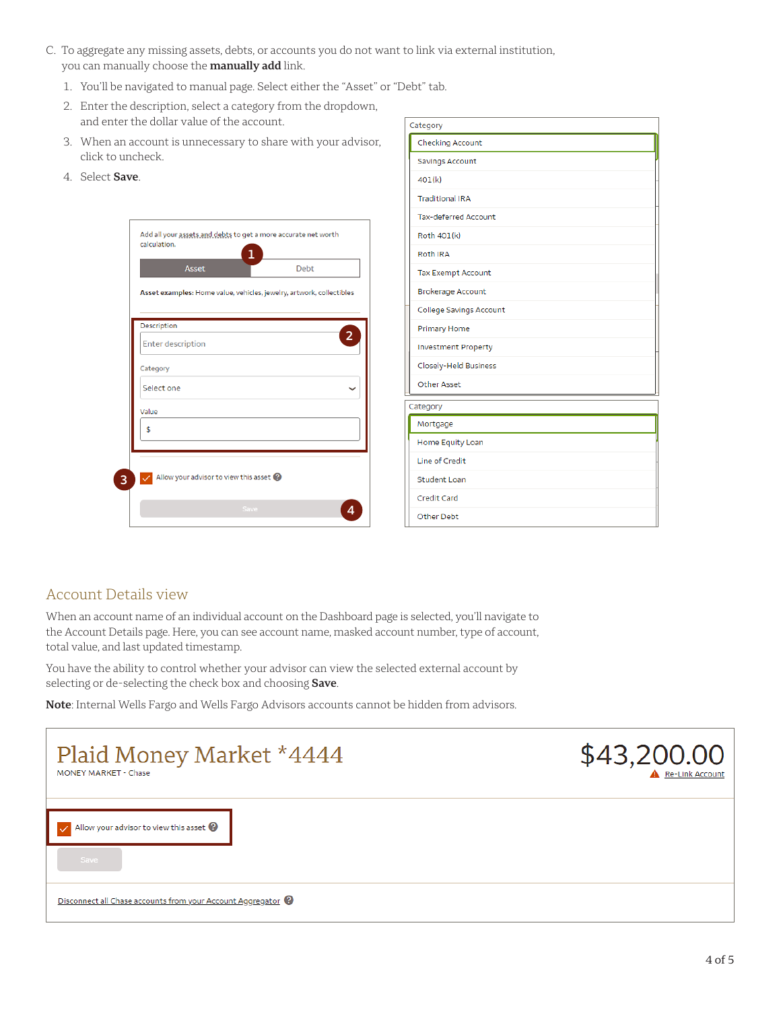- C. To aggregate any missing assets, debts, or accounts you do not want to link via external institution, you can manually choose the **manually add** link.
	- 1. You'll be navigated to manual page. Select either the "Asset" or "Debt" tab.
	- 2. Enter the description, select a category from the dropdown, and enter the dollar value of the account.
	- 3. When an account is unnecessary to share with your advisor, click to uncheck.
	- 4. Select **Save**.

| <b>Asset</b>                                                         | Debt |
|----------------------------------------------------------------------|------|
| Asset examples: Home value, vehicles, jewelry, artwork, collectibles |      |
|                                                                      |      |
| Description                                                          |      |
| <b>Enter description</b>                                             |      |
| Category                                                             |      |
| Select one                                                           |      |
| Value                                                                |      |
| \$                                                                   |      |
|                                                                      |      |
|                                                                      |      |
| Allow your advisor to view this asset                                |      |

| Category                    |
|-----------------------------|
| <b>Checking Account</b>     |
| Savings Account             |
| 401(k)                      |
| <b>Traditional IRA</b>      |
| <b>Tax-deferred Account</b> |
| Roth 401(k)                 |
| <b>Roth IRA</b>             |
| <b>Tax Exempt Account</b>   |
| <b>Brokerage Account</b>    |
| College Savings Account     |
| Primary Home                |
| <b>Investment Property</b>  |
| Closely-Held Business       |
| <b>Other Asset</b>          |
| Category                    |
| Mortgage                    |
| Home Equity Loan            |
| <b>Line of Credit</b>       |
| <b>Student Loan</b>         |
| Credit Card                 |
| Other Debt                  |

## Account Details view

When an account name of an individual account on the Dashboard page is selected, you'll navigate to the Account Details page. Here, you can see account name, masked account number, type of account, total value, and last updated timestamp.

You have the ability to control whether your advisor can view the selected external account by selecting or de-selecting the check box and choosing **Save**.

**Note**: Internal Wells Fargo and Wells Fargo Advisors accounts cannot be hidden from advisors.

| Plaid Money Market *4444<br><b>MONEY MARKET - Chase</b>    | \$43,200.00<br>Re-Link Account |
|------------------------------------------------------------|--------------------------------|
| $\vee$ Allow your advisor to view this asset $\odot$       |                                |
| Save                                                       |                                |
| Disconnect all Chase accounts from your Account Aggregator |                                |